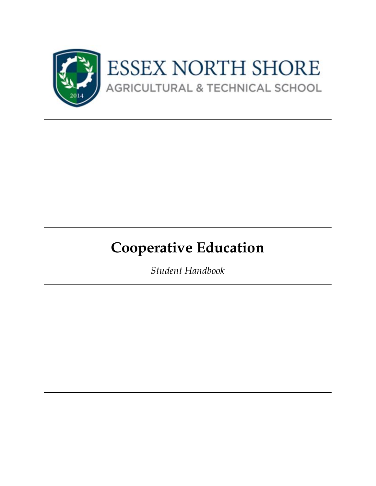

# **Cooperative Education**

*Student Handbook*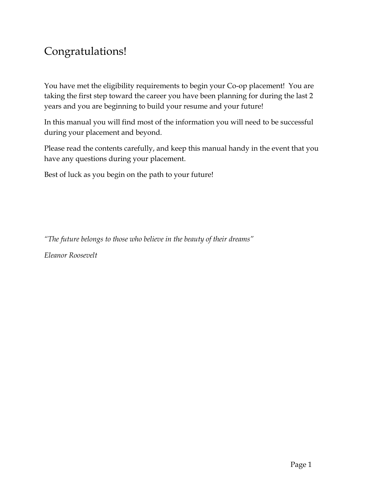#### Congratulations!

You have met the eligibility requirements to begin your Co-op placement! You are taking the first step toward the career you have been planning for during the last 2 years and you are beginning to build your resume and your future!

In this manual you will find most of the information you will need to be successful during your placement and beyond.

Please read the contents carefully, and keep this manual handy in the event that you have any questions during your placement.

Best of luck as you begin on the path to your future!

*"The future belongs to those who believe in the beauty of their dreams"*

*Eleanor Roosevelt*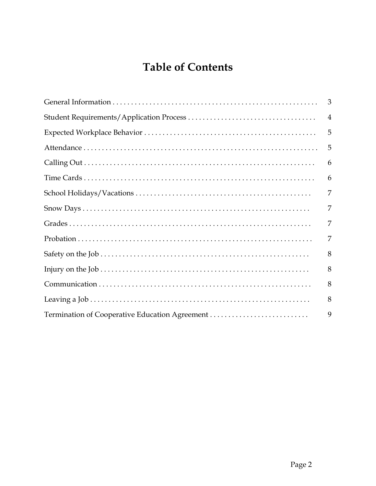### **Table of Contents**

|                                                | 3              |
|------------------------------------------------|----------------|
|                                                | $\overline{4}$ |
|                                                | 5              |
|                                                | 5              |
|                                                | 6              |
|                                                | 6              |
|                                                | 7              |
|                                                | 7              |
|                                                | 7              |
|                                                | 7              |
|                                                | 8              |
|                                                | 8              |
|                                                | 8              |
|                                                | 8              |
| Termination of Cooperative Education Agreement | 9              |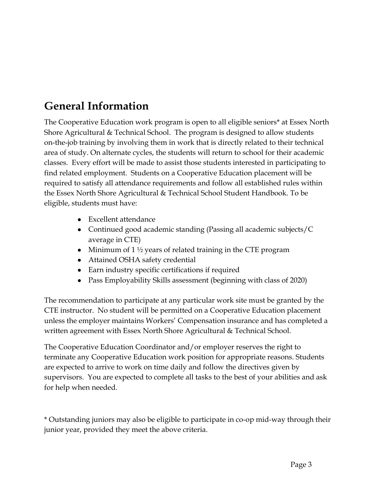#### <span id="page-3-0"></span>**General Information**

The Cooperative Education work program is open to all eligible seniors\* at Essex North Shore Agricultural & Technical School. The program is designed to allow students on-the-job training by involving them in work that is directly related to their technical area of study. On alternate cycles, the students will return to school for their academic classes. Every effort will be made to assist those students interested in participating to find related employment. Students on a Cooperative Education placement will be required to satisfy all attendance requirements and follow all established rules within the Essex North Shore Agricultural & Technical School Student Handbook. To be eligible, students must have:

- Excellent attendance
- Continued good academic standing (Passing all academic subjects/C average in CTE)
- Minimum of  $1\frac{1}{2}$  years of related training in the CTE program
- Attained OSHA safety credential
- Earn industry specific certifications if required
- Pass Employability Skills assessment (beginning with class of 2020)

The recommendation to participate at any particular work site must be granted by the CTE instructor. No student will be permitted on a Cooperative Education placement unless the employer maintains Workers' Compensation insurance and has completed a written agreement with Essex North Shore Agricultural & Technical School.

The Cooperative Education Coordinator and/or employer reserves the right to terminate any Cooperative Education work position for appropriate reasons. Students are expected to arrive to work on time daily and follow the directives given by supervisors. You are expected to complete all tasks to the best of your abilities and ask for help when needed.

\* Outstanding juniors may also be eligible to participate in co-op mid-way through their junior year, provided they meet the above criteria.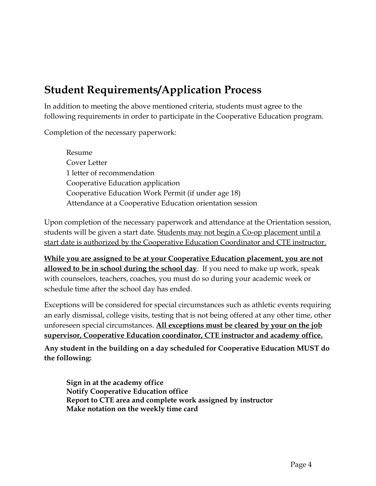# <span id="page-4-0"></span>**Student Requirements/Application Process**

In addition to meeting the above mentioned criteria, students must agree to the following requirements in order to participate in the Cooperative Education program.

Completion of the necessary paperwork:

Resume Cover Letter 1 letter of recommendation Cooperative Education application Cooperative Education Work Permit (if under age 18) Attendance at a Cooperative Education orientation session

Upon completion of the necessary paperwork and attendance at the Orientation session, students will be given a start date. Students may not begin a Co-op placement until a start date is authorized by the Cooperative Education Coordinator and CTE instructor.

**While you are assigned to be at your Cooperative Education placement, you are not allowed to be in school during the school day**. If you need to make up work, speak with counselors, teachers, coaches, you must do so during your academic week or schedule time after the school day has ended.

Exceptions will be considered for special circumstances such as athletic events requiring an early dismissal, college visits, testing that is not being offered at any other time, other unforeseen special circumstances. **All exceptions must be cleared by your on the job supervisor, Cooperative Education coordinator, CTE instructor and academy office.**

**Any student in the building on a day scheduled for Cooperative Education MUST do the following:**

**Sign in at the academy office Notify Cooperative Education office Report to CTE area and complete work assigned by instructor Make notation on the weekly time card**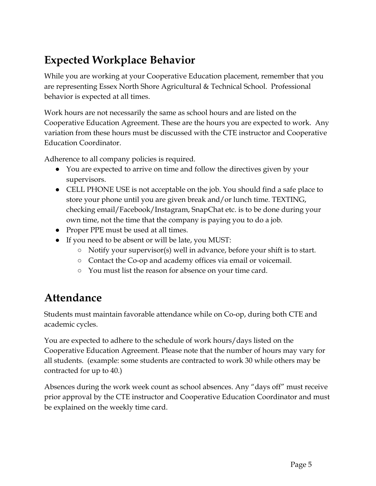# <span id="page-5-0"></span>**Expected Workplace Behavior**

While you are working at your Cooperative Education placement, remember that you are representing Essex North Shore Agricultural & Technical School. Professional behavior is expected at all times.

Work hours are not necessarily the same as school hours and are listed on the Cooperative Education Agreement. These are the hours you are expected to work. Any variation from these hours must be discussed with the CTE instructor and Cooperative Education Coordinator.

Adherence to all company policies is required.

- You are expected to arrive on time and follow the directives given by your supervisors.
- CELL PHONE USE is not acceptable on the job. You should find a safe place to store your phone until you are given break and/or lunch time. TEXTING, checking email/Facebook/Instagram, SnapChat etc. is to be done during your own time, not the time that the company is paying you to do a job.
- Proper PPE must be used at all times.
- If you need to be absent or will be late, you MUST:
	- Notify your supervisor(s) well in advance, before your shift is to start.
	- Contact the Co-op and academy offices via email or voicemail.
	- You must list the reason for absence on your time card.

#### <span id="page-5-1"></span>**Attendance**

Students must maintain favorable attendance while on Co-op, during both CTE and academic cycles.

You are expected to adhere to the schedule of work hours/days listed on the Cooperative Education Agreement. Please note that the number of hours may vary for all students. (example: some students are contracted to work 30 while others may be contracted for up to 40.)

Absences during the work week count as school absences. Any "days off" must receive prior approval by the CTE instructor and Cooperative Education Coordinator and must be explained on the weekly time card.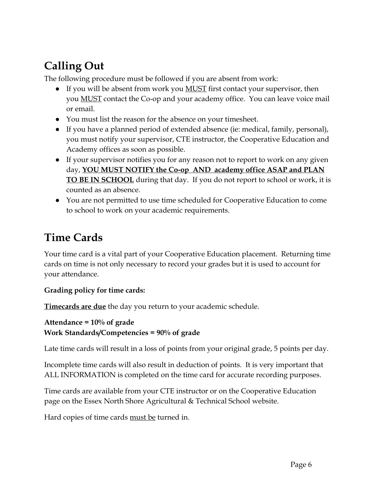# <span id="page-6-0"></span>**Calling Out**

The following procedure must be followed if you are absent from work:

- If you will be absent from work you **MUST** first contact your supervisor, then you MUST contact the Co-op and your academy office. You can leave voice mail or email.
- You must list the reason for the absence on your timesheet.
- If you have a planned period of extended absence (ie: medical, family, personal), you must notify your supervisor, CTE instructor, the Cooperative Education and Academy offices as soon as possible.
- If your supervisor notifies you for any reason not to report to work on any given day, **YOU MUST NOTIFY the Co-op AND academy office ASAP and PLAN TO BE IN SCHOOL** during that day. If you do not report to school or work, it is counted as an absence.
- You are not permitted to use time scheduled for Cooperative Education to come to school to work on your academic requirements.

# <span id="page-6-1"></span>**Time Cards**

Your time card is a vital part of your Cooperative Education placement. Returning time cards on time is not only necessary to record your grades but it is used to account for your attendance.

#### **Grading policy for time cards:**

**Timecards are due** the day you return to your academic schedule.

```
Attendance = 10% of grade
Work Standards/Competencies = 90% of grade
```
Late time cards will result in a loss of points from your original grade, 5 points per day.

Incomplete time cards will also result in deduction of points. It is very important that ALL INFORMATION is completed on the time card for accurate recording purposes.

Time cards are available from your CTE instructor or on the Cooperative Education page on the Essex North Shore Agricultural & Technical School website.

Hard copies of time cards must be turned in.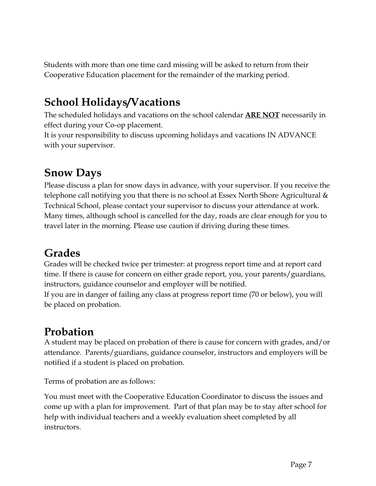Students with more than one time card missing will be asked to return from their Cooperative Education placement for the remainder of the marking period.

### <span id="page-7-0"></span>**School Holidays/Vacations**

The scheduled holidays and vacations on the school calendar **ARE NOT** necessarily in effect during your Co-op placement.

It is your responsibility to discuss upcoming holidays and vacations IN ADVANCE with your supervisor.

# <span id="page-7-1"></span>**Snow Days**

Please discuss a plan for snow days in advance, with your supervisor. If you receive the telephone call notifying you that there is no school at Essex North Shore Agricultural  $\&$ Technical School, please contact your supervisor to discuss your attendance at work. Many times, although school is cancelled for the day, roads are clear enough for you to travel later in the morning. Please use caution if driving during these times.

# <span id="page-7-2"></span>**Grades**

Grades will be checked twice per trimester: at progress report time and at report card time. If there is cause for concern on either grade report, you, your parents/guardians, instructors, guidance counselor and employer will be notified.

If you are in danger of failing any class at progress report time (70 or below), you will be placed on probation.

#### <span id="page-7-3"></span>**Probation**

A student may be placed on probation of there is cause for concern with grades, and/or attendance. Parents/guardians, guidance counselor, instructors and employers will be notified if a student is placed on probation.

Terms of probation are as follows:

You must meet with the Cooperative Education Coordinator to discuss the issues and come up with a plan for improvement. Part of that plan may be to stay after school for help with individual teachers and a weekly evaluation sheet completed by all instructors.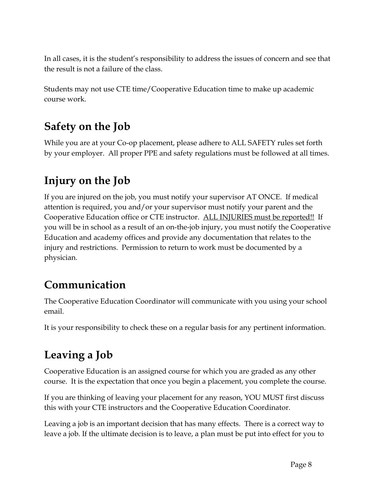In all cases, it is the student's responsibility to address the issues of concern and see that the result is not a failure of the class.

Students may not use CTE time/Cooperative Education time to make up academic course work.

# <span id="page-8-0"></span>**Safety on the Job**

While you are at your Co-op placement, please adhere to ALL SAFETY rules set forth by your employer. All proper PPE and safety regulations must be followed at all times.

# <span id="page-8-1"></span>**Injury on the Job**

If you are injured on the job, you must notify your supervisor AT ONCE. If medical attention is required, you and/or your supervisor must notify your parent and the Cooperative Education office or CTE instructor. ALL INJURIES must be reported!! If you will be in school as a result of an on-the-job injury, you must notify the Cooperative Education and academy offices and provide any documentation that relates to the injury and restrictions. Permission to return to work must be documented by a physician.

#### <span id="page-8-2"></span>**Communication**

The Cooperative Education Coordinator will communicate with you using your school email.

It is your responsibility to check these on a regular basis for any pertinent information.

# <span id="page-8-3"></span>**Leaving a Job**

Cooperative Education is an assigned course for which you are graded as any other course. It is the expectation that once you begin a placement, you complete the course.

If you are thinking of leaving your placement for any reason, YOU MUST first discuss this with your CTE instructors and the Cooperative Education Coordinator.

Leaving a job is an important decision that has many effects. There is a correct way to leave a job. If the ultimate decision is to leave, a plan must be put into effect for you to